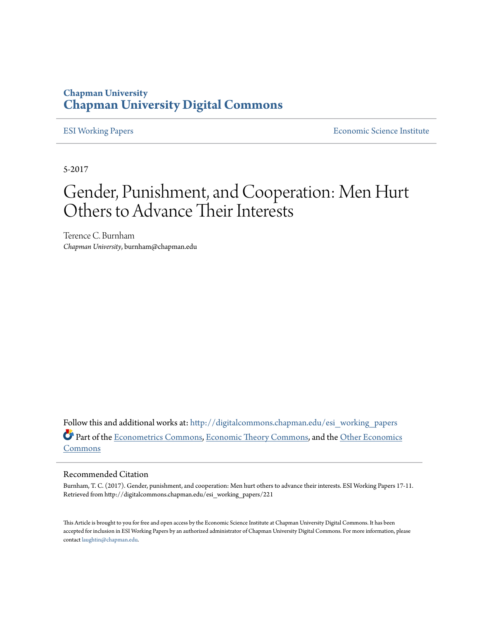#### **Chapman University [Chapman University Digital Commons](http://digitalcommons.chapman.edu?utm_source=digitalcommons.chapman.edu%2Fesi_working_papers%2F221&utm_medium=PDF&utm_campaign=PDFCoverPages)**

[ESI Working Papers](http://digitalcommons.chapman.edu/esi_working_papers?utm_source=digitalcommons.chapman.edu%2Fesi_working_papers%2F221&utm_medium=PDF&utm_campaign=PDFCoverPages) **[Economic Science Institute](http://digitalcommons.chapman.edu/esi?utm_source=digitalcommons.chapman.edu%2Fesi_working_papers%2F221&utm_medium=PDF&utm_campaign=PDFCoverPages)** 

5-2017

# Gender, Punishment, and Cooperation: Men Hurt Others to Advance Their Interests

Terence C. Burnham *Chapman University*, burnham@chapman.edu

Follow this and additional works at: [http://digitalcommons.chapman.edu/esi\\_working\\_papers](http://digitalcommons.chapman.edu/esi_working_papers?utm_source=digitalcommons.chapman.edu%2Fesi_working_papers%2F221&utm_medium=PDF&utm_campaign=PDFCoverPages) Part of the [Econometrics Commons,](http://network.bepress.com/hgg/discipline/342?utm_source=digitalcommons.chapman.edu%2Fesi_working_papers%2F221&utm_medium=PDF&utm_campaign=PDFCoverPages) [Economic Theory Commons](http://network.bepress.com/hgg/discipline/344?utm_source=digitalcommons.chapman.edu%2Fesi_working_papers%2F221&utm_medium=PDF&utm_campaign=PDFCoverPages), and the [Other Economics](http://network.bepress.com/hgg/discipline/353?utm_source=digitalcommons.chapman.edu%2Fesi_working_papers%2F221&utm_medium=PDF&utm_campaign=PDFCoverPages) [Commons](http://network.bepress.com/hgg/discipline/353?utm_source=digitalcommons.chapman.edu%2Fesi_working_papers%2F221&utm_medium=PDF&utm_campaign=PDFCoverPages)

#### Recommended Citation

Burnham, T. C. (2017). Gender, punishment, and cooperation: Men hurt others to advance their interests. ESI Working Papers 17-11. Retrieved from http://digitalcommons.chapman.edu/esi\_working\_papers/221

This Article is brought to you for free and open access by the Economic Science Institute at Chapman University Digital Commons. It has been accepted for inclusion in ESI Working Papers by an authorized administrator of Chapman University Digital Commons. For more information, please contact [laughtin@chapman.edu](mailto:laughtin@chapman.edu).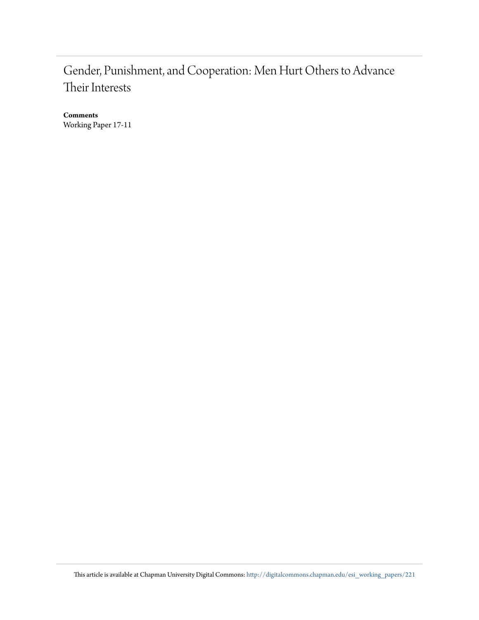## Gender, Punishment, and Cooperation: Men Hurt Others to Advance Their Interests

**Comments** Working Paper 17-11

This article is available at Chapman University Digital Commons: [http://digitalcommons.chapman.edu/esi\\_working\\_papers/221](http://digitalcommons.chapman.edu/esi_working_papers/221?utm_source=digitalcommons.chapman.edu%2Fesi_working_papers%2F221&utm_medium=PDF&utm_campaign=PDFCoverPages)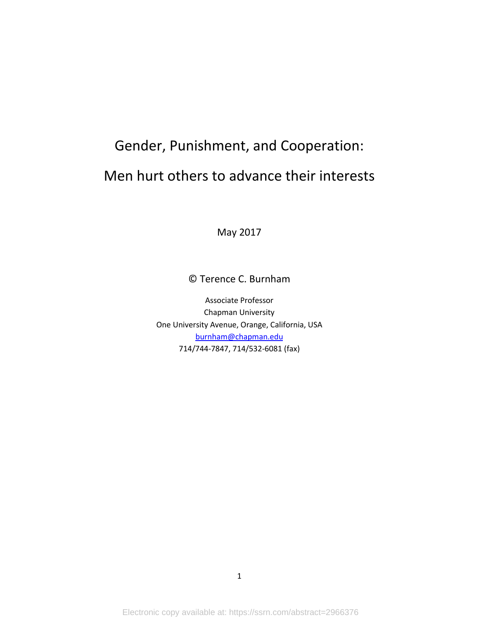# Gender, Punishment, and Cooperation: Men hurt others to advance their interests

May 2017

© Terence C. Burnham

Associate Professor Chapman University One University Avenue, Orange, California, USA [burnham@chapman.edu](mailto:burnham@chapman.edu) 714/744-7847, 714/532-6081 (fax)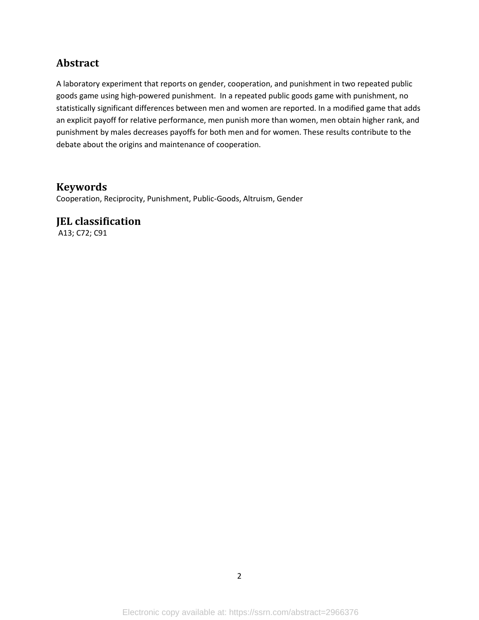#### **Abstract**

A laboratory experiment that reports on gender, cooperation, and punishment in two repeated public goods game using high-powered punishment. In a repeated public goods game with punishment, no statistically significant differences between men and women are reported. In a modified game that adds an explicit payoff for relative performance, men punish more than women, men obtain higher rank, and punishment by males decreases payoffs for both men and for women. These results contribute to the debate about the origins and maintenance of cooperation.

#### **Keywords**

Cooperation, Reciprocity, Punishment, Public-Goods, Altruism, Gender

#### **JEL classification**

A13; C72; C91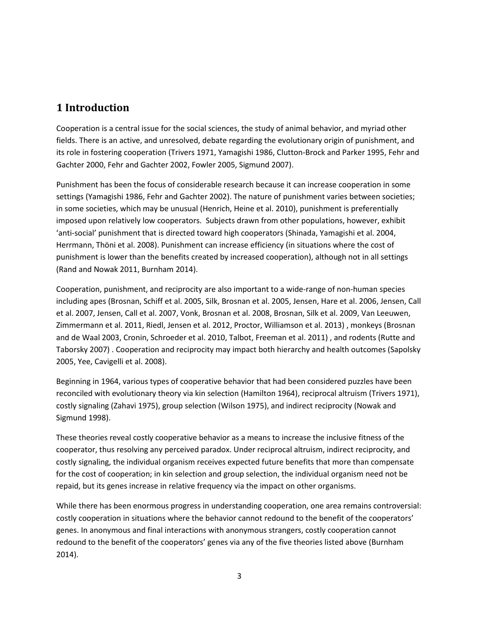#### **1 Introduction**

Cooperation is a central issue for the social sciences, the study of animal behavior, and myriad other fields. There is an active, and unresolved, debate regarding the evolutionary origin of punishment, and its role in fostering cooperation [\(Trivers 1971,](#page-19-0) [Yamagishi 1986,](#page-20-0) Clutton-Brock [and Parker 1995,](#page-16-0) [Fehr and](#page-17-0)  [Gachter 2000,](#page-17-0) [Fehr and Gachter 2002,](#page-17-1) [Fowler 2005,](#page-17-2) [Sigmund 2007\)](#page-19-1).

Punishment has been the focus of considerable research because it can increase cooperation in some settings [\(Yamagishi 1986,](#page-20-0) [Fehr and Gachter 2002\)](#page-17-1). The nature of punishment varies between societies; in some societies, which may be unusual [\(Henrich, Heine et al. 2010\)](#page-17-3), punishment is preferentially imposed upon relatively low cooperators. Subjects drawn from other populations, however, exhibit 'anti-social' punishment that is directed toward high cooperators [\(Shinada, Yamagishi et al. 2004,](#page-19-2) [Herrmann, Thöni et al. 2008\)](#page-17-4). Punishment can increase efficiency (in situations where the cost of punishment is lower than the benefits created by increased cooperation), although not in all settings [\(Rand and Nowak 2011,](#page-18-0) [Burnham 2014\)](#page-16-1).

Cooperation, punishment, and reciprocity are also important to a wide-range of non-human species including apes [\(Brosnan, Schiff et al. 2005,](#page-16-2) [Silk, Brosnan et al. 2005,](#page-19-3) [Jensen, Hare et al. 2006,](#page-17-5) [Jensen, Call](#page-17-6)  [et al. 2007,](#page-17-6) [Jensen, Call et al. 2007,](#page-17-7) [Vonk, Brosnan et al. 2008,](#page-19-4) [Brosnan, Silk et al. 2009,](#page-16-3) [Van Leeuwen,](#page-19-5)  [Zimmermann et al. 2011,](#page-19-5) [Riedl, Jensen et al. 2012,](#page-18-1) [Proctor, Williamson et al. 2013\)](#page-18-2) , monkeys [\(Brosnan](#page-16-4)  [and de Waal 2003,](#page-16-4) [Cronin, Schroeder et al. 2010,](#page-16-5) [Talbot, Freeman et al. 2011\)](#page-19-6) , and rodents [\(Rutte and](#page-18-3)  [Taborsky 2007\)](#page-18-3) . Cooperation and reciprocity may impact both hierarchy and health outcomes [\(Sapolsky](#page-18-4)  [2005,](#page-18-4) [Yee, Cavigelli et al. 2008\)](#page-20-1).

Beginning in 1964, various types of cooperative behavior that had been considered puzzles have been reconciled with evolutionary theory via kin selection [\(Hamilton 1964\)](#page-17-8), reciprocal altruism [\(Trivers 1971\)](#page-19-0), costly signaling [\(Zahavi 1975\)](#page-20-2), group selection [\(Wilson 1975\)](#page-20-3), and indirect reciprocity [\(Nowak and](#page-18-5)  [Sigmund 1998\)](#page-18-5).

These theories reveal costly cooperative behavior as a means to increase the inclusive fitness of the cooperator, thus resolving any perceived paradox. Under reciprocal altruism, indirect reciprocity, and costly signaling, the individual organism receives expected future benefits that more than compensate for the cost of cooperation; in kin selection and group selection, the individual organism need not be repaid, but its genes increase in relative frequency via the impact on other organisms.

While there has been enormous progress in understanding cooperation, one area remains controversial: costly cooperation in situations where the behavior cannot redound to the benefit of the cooperators' genes. In anonymous and final interactions with anonymous strangers, costly cooperation cannot redound to the benefit of the cooperators' genes via any of the five theories listed above [\(Burnham](#page-16-1)  [2014\)](#page-16-1).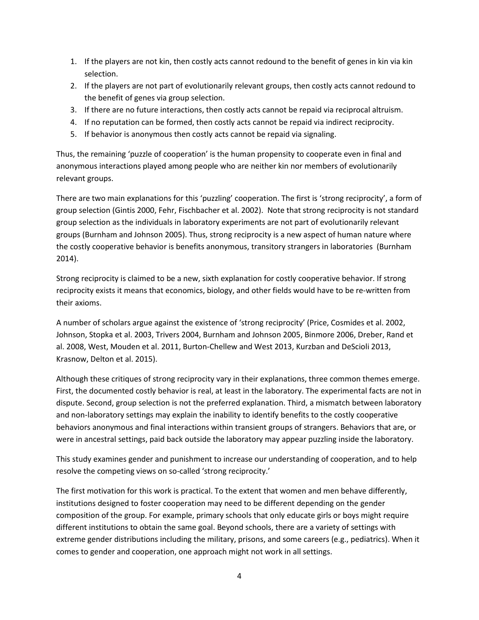- 1. If the players are not kin, then costly acts cannot redound to the benefit of genes in kin via kin selection.
- 2. If the players are not part of evolutionarily relevant groups, then costly acts cannot redound to the benefit of genes via group selection.
- 3. If there are no future interactions, then costly acts cannot be repaid via reciprocal altruism.
- 4. If no reputation can be formed, then costly acts cannot be repaid via indirect reciprocity.
- 5. If behavior is anonymous then costly acts cannot be repaid via signaling.

Thus, the remaining 'puzzle of cooperation' is the human propensity to cooperate even in final and anonymous interactions played among people who are neither kin nor members of evolutionarily relevant groups.

There are two main explanations for this 'puzzling' cooperation. The first is 'strong reciprocity', a form of group selection [\(Gintis 2000,](#page-17-9) [Fehr, Fischbacher et al. 2002\)](#page-17-10). Note that strong reciprocity is not standard group selection as the individuals in laboratory experiments are not part of evolutionarily relevant groups [\(Burnham and Johnson 2005\)](#page-16-6). Thus, strong reciprocity is a new aspect of human nature where the costly cooperative behavior is benefits anonymous, transitory strangers in laboratories [\(Burnham](#page-16-1)  [2014\)](#page-16-1).

Strong reciprocity is claimed to be a new, sixth explanation for costly cooperative behavior. If strong reciprocity exists it means that economics, biology, and other fields would have to be re-written from their axioms.

A number of scholars argue against the existence of 'strong reciprocity' [\(Price, Cosmides et al. 2002,](#page-18-6) Johnson, [Stopka et al. 2003,](#page-17-11) [Trivers 2004,](#page-19-7) [Burnham and Johnson 2005,](#page-16-6) [Binmore 2006,](#page-16-7) [Dreber, Rand et](#page-16-8)  [al. 2008,](#page-16-8) [West, Mouden et al. 2011,](#page-19-8) [Burton-Chellew and West 2013,](#page-16-9) [Kurzban and DeScioli 2013,](#page-18-7) [Krasnow, Delton et al. 2015\)](#page-18-8).

Although these critiques of strong reciprocity vary in their explanations, three common themes emerge. First, the documented costly behavior is real, at least in the laboratory. The experimental facts are not in dispute. Second, group selection is not the preferred explanation. Third, a mismatch between laboratory and non-laboratory settings may explain the inability to identify benefits to the costly cooperative behaviors anonymous and final interactions within transient groups of strangers. Behaviors that are, or were in ancestral settings, paid back outside the laboratory may appear puzzling inside the laboratory.

This study examines gender and punishment to increase our understanding of cooperation, and to help resolve the competing views on so-called 'strong reciprocity.'

The first motivation for this work is practical. To the extent that women and men behave differently, institutions designed to foster cooperation may need to be different depending on the gender composition of the group. For example, primary schools that only educate girls or boys might require different institutions to obtain the same goal. Beyond schools, there are a variety of settings with extreme gender distributions including the military, prisons, and some careers (e.g., pediatrics). When it comes to gender and cooperation, one approach might not work in all settings.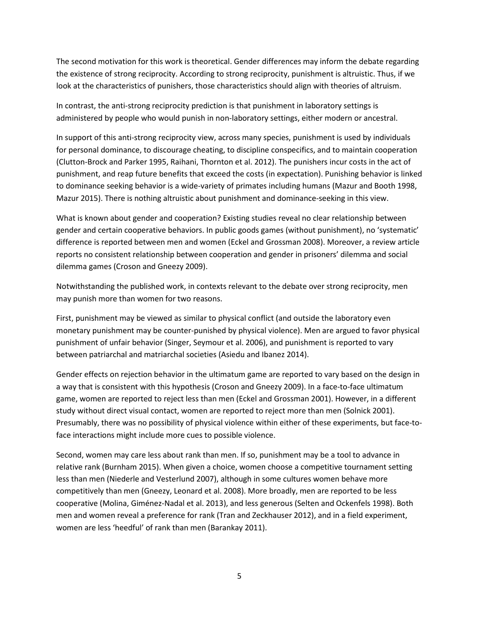The second motivation for this work is theoretical. Gender differences may inform the debate regarding the existence of strong reciprocity. According to strong reciprocity, punishment is altruistic. Thus, if we look at the characteristics of punishers, those characteristics should align with theories of altruism.

In contrast, the anti-strong reciprocity prediction is that punishment in laboratory settings is administered by people who would punish in non-laboratory settings, either modern or ancestral.

In support of this anti-strong reciprocity view, across many species, punishment is used by individuals for personal dominance, to discourage cheating, to discipline conspecifics, and to maintain cooperation [\(Clutton-Brock and Parker 1995,](#page-16-0) [Raihani, Thornton et al. 2012\)](#page-18-9). The punishers incur costs in the act of punishment, and reap future benefits that exceed the costs (in expectation). Punishing behavior is linked to dominance seeking behavior is a wide-variety of primates including humans [\(Mazur and Booth 1998,](#page-18-10) [Mazur 2015\)](#page-18-11). There is nothing altruistic about punishment and dominance-seeking in this view.

What is known about gender and cooperation? Existing studies reveal no clear relationship between gender and certain cooperative behaviors. In public goods games (without punishment), no 'systematic' difference is reported between men and women [\(Eckel and Grossman 2008\)](#page-17-12). Moreover, a review article reports no consistent relationship between cooperation and gender in prisoners' dilemma and social dilemma games [\(Croson and Gneezy 2009\)](#page-16-10).

Notwithstanding the published work, in contexts relevant to the debate over strong reciprocity, men may punish more than women for two reasons.

First, punishment may be viewed as similar to physical conflict (and outside the laboratory even monetary punishment may be counter-punished by physical violence). Men are argued to favor physical punishment of unfair behavior [\(Singer, Seymour et al. 2006\)](#page-19-9), and punishment is reported to vary between patriarchal and matriarchal societies [\(Asiedu and Ibanez 2014\)](#page-16-11).

Gender effects on rejection behavior in the ultimatum game are reported to vary based on the design in a way that is consistent with this hypothesis [\(Croson and Gneezy 2009\)](#page-16-10). In a face-to-face ultimatum game, women are reported to reject less than men [\(Eckel and Grossman 2001\)](#page-17-13). However, in a different study without direct visual contact, women are reported to reject more than men [\(Solnick 2001\)](#page-19-10). Presumably, there was no possibility of physical violence within either of these experiments, but face-toface interactions might include more cues to possible violence.

Second, women may care less about rank than men. If so, punishment may be a tool to advance in relative rank [\(Burnham 2015\)](#page-16-12). When given a choice, women choose a competitive tournament setting less than men [\(Niederle and Vesterlund 2007\)](#page-18-12), although in some cultures women behave more competitively than men [\(Gneezy, Leonard et al. 2008\)](#page-17-14). More broadly, men are reported to be less cooperative [\(Molina, Giménez-Nadal et al. 2013\)](#page-18-13), and less generous [\(Selten and Ockenfels 1998\)](#page-19-11). Both men and women reveal a preference for rank [\(Tran and Zeckhauser 2012\)](#page-19-12), and in a field experiment, women are less 'heedful' of rank than men [\(Barankay 2011\)](#page-16-13).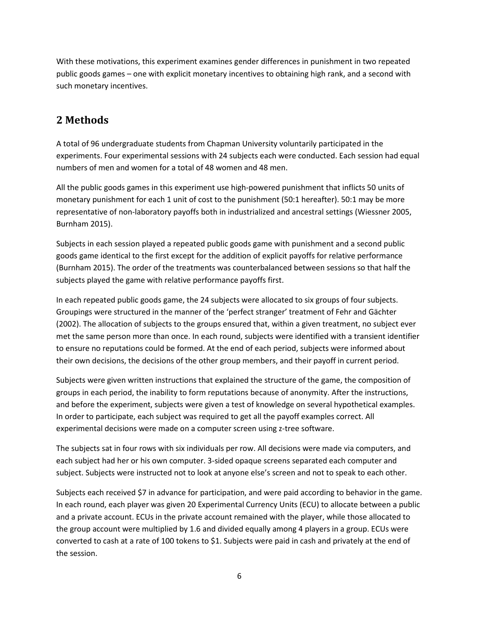With these motivations, this experiment examines gender differences in punishment in two repeated public goods games – one with explicit monetary incentives to obtaining high rank, and a second with such monetary incentives.

#### **2 Methods**

A total of 96 undergraduate students from Chapman University voluntarily participated in the experiments. Four experimental sessions with 24 subjects each were conducted. Each session had equal numbers of men and women for a total of 48 women and 48 men.

All the public goods games in this experiment use high-powered punishment that inflicts 50 units of monetary punishment for each 1 unit of cost to the punishment (50:1 hereafter). 50:1 may be more representative of non-laboratory payoffs both in industrialized and ancestral settings [\(Wiessner 2005,](#page-19-13) [Burnham 2015\)](#page-16-12).

Subjects in each session played a repeated public goods game with punishment and a second public goods game identical to the first except for the addition of explicit payoffs for relative performance [\(Burnham 2015\)](#page-16-12). The order of the treatments was counterbalanced between sessions so that half the subjects played the game with relative performance payoffs first.

In each repeated public goods game, the 24 subjects were allocated to six groups of four subjects. Groupings were structured in the manner of the 'perfect stranger' treatment of Fehr and Gächter (2002). The allocation of subjects to the groups ensured that, within a given treatment, no subject ever met the same person more than once. In each round, subjects were identified with a transient identifier to ensure no reputations could be formed. At the end of each period, subjects were informed about their own decisions, the decisions of the other group members, and their payoff in current period.

Subjects were given written instructions that explained the structure of the game, the composition of groups in each period, the inability to form reputations because of anonymity. After the instructions, and before the experiment, subjects were given a test of knowledge on several hypothetical examples. In order to participate, each subject was required to get all the payoff examples correct. All experimental decisions were made on a computer screen using z-tree software.

The subjects sat in four rows with six individuals per row. All decisions were made via computers, and each subject had her or his own computer. 3-sided opaque screens separated each computer and subject. Subjects were instructed not to look at anyone else's screen and not to speak to each other.

Subjects each received \$7 in advance for participation, and were paid according to behavior in the game. In each round, each player was given 20 Experimental Currency Units (ECU) to allocate between a public and a private account. ECUs in the private account remained with the player, while those allocated to the group account were multiplied by 1.6 and divided equally among 4 players in a group. ECUs were converted to cash at a rate of 100 tokens to \$1. Subjects were paid in cash and privately at the end of the session.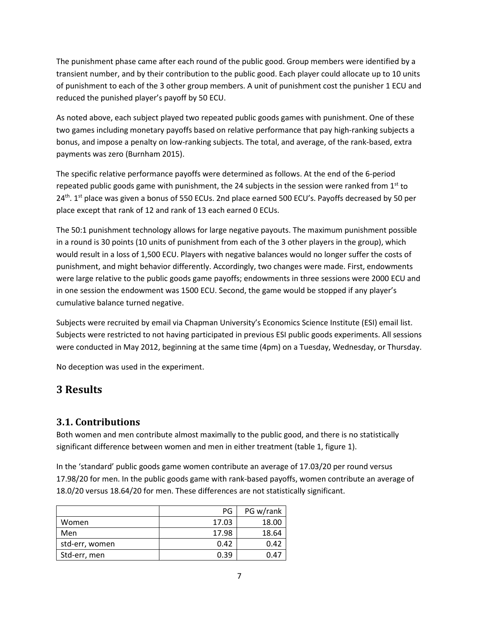The punishment phase came after each round of the public good. Group members were identified by a transient number, and by their contribution to the public good. Each player could allocate up to 10 units of punishment to each of the 3 other group members. A unit of punishment cost the punisher 1 ECU and reduced the punished player's payoff by 50 ECU.

As noted above, each subject played two repeated public goods games with punishment. One of these two games including monetary payoffs based on relative performance that pay high-ranking subjects a bonus, and impose a penalty on low-ranking subjects. The total, and average, of the rank-based, extra payments was zero [\(Burnham 2015\)](#page-16-12).

The specific relative performance payoffs were determined as follows. At the end of the 6-period repeated public goods game with punishment, the 24 subjects in the session were ranked from  $1<sup>st</sup>$  to 24<sup>th</sup>. 1<sup>st</sup> place was given a bonus of 550 ECUs. 2nd place earned 500 ECU's. Payoffs decreased by 50 per place except that rank of 12 and rank of 13 each earned 0 ECUs.

The 50:1 punishment technology allows for large negative payouts. The maximum punishment possible in a round is 30 points (10 units of punishment from each of the 3 other players in the group), which would result in a loss of 1,500 ECU. Players with negative balances would no longer suffer the costs of punishment, and might behavior differently. Accordingly, two changes were made. First, endowments were large relative to the public goods game payoffs; endowments in three sessions were 2000 ECU and in one session the endowment was 1500 ECU. Second, the game would be stopped if any player's cumulative balance turned negative.

Subjects were recruited by email via Chapman University's Economics Science Institute (ESI) email list. Subjects were restricted to not having participated in previous ESI public goods experiments. All sessions were conducted in May 2012, beginning at the same time (4pm) on a Tuesday, Wednesday, or Thursday.

No deception was used in the experiment.

#### **3 Results**

#### **3.1. Contributions**

Both women and men contribute almost maximally to the public good, and there is no statistically significant difference between women and men in either treatment (table 1, figure 1).

In the 'standard' public goods game women contribute an average of 17.03/20 per round versus 17.98/20 for men. In the public goods game with rank-based payoffs, women contribute an average of 18.0/20 versus 18.64/20 for men. These differences are not statistically significant.

|                | PG.   | PG w/rank |
|----------------|-------|-----------|
| Women          | 17.03 | 18.00     |
| Men            | 17.98 | 18.64     |
| std-err, women | 0.42  | 0.42      |
| Std-err, men   | 0.39  | 0.47      |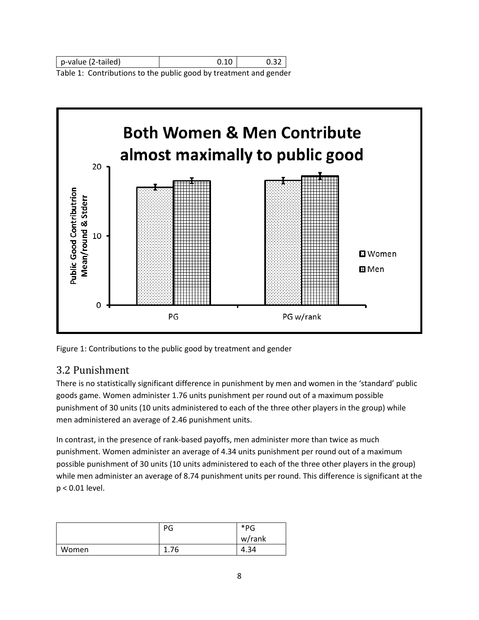| p-value (2-tailed) |          |  |
|--------------------|----------|--|
| _ _<br>.<br>.      | .<br>. . |  |

Table 1: Contributions to the public good by treatment and gender



Figure 1: Contributions to the public good by treatment and gender

#### 3.2 Punishment

There is no statistically significant difference in punishment by men and women in the 'standard' public goods game. Women administer 1.76 units punishment per round out of a maximum possible punishment of 30 units (10 units administered to each of the three other players in the group) while men administered an average of 2.46 punishment units.

In contrast, in the presence of rank-based payoffs, men administer more than twice as much punishment. Women administer an average of 4.34 units punishment per round out of a maximum possible punishment of 30 units (10 units administered to each of the three other players in the group) while men administer an average of 8.74 punishment units per round. This difference is significant at the p < 0.01 level.

|       | PG   | *PG<br>w/rank |
|-------|------|---------------|
| Women | 1.76 | 4.34          |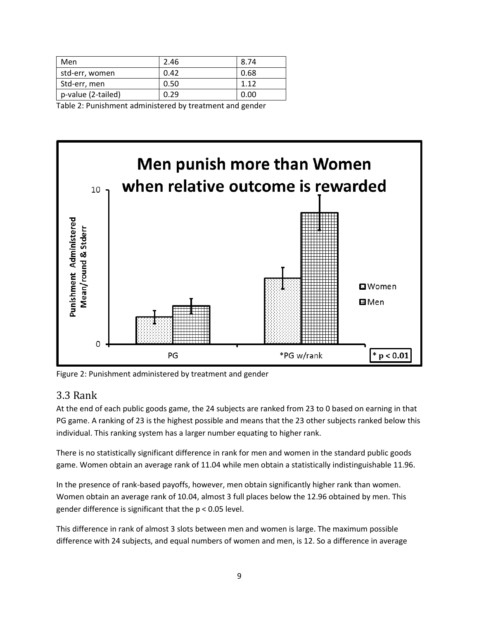| Men                | 2.46 | 8.74 |
|--------------------|------|------|
| std-err, women     | 0.42 | 0.68 |
| Std-err, men       | 0.50 | 1.12 |
| p-value (2-tailed) | 0.29 | 0.00 |
|                    |      |      |

Table 2: Punishment administered by treatment and gender



Figure 2: Punishment administered by treatment and gender

#### 3.3 Rank

At the end of each public goods game, the 24 subjects are ranked from 23 to 0 based on earning in that PG game. A ranking of 23 is the highest possible and means that the 23 other subjects ranked below this individual. This ranking system has a larger number equating to higher rank.

There is no statistically significant difference in rank for men and women in the standard public goods game. Women obtain an average rank of 11.04 while men obtain a statistically indistinguishable 11.96.

In the presence of rank-based payoffs, however, men obtain significantly higher rank than women. Women obtain an average rank of 10.04, almost 3 full places below the 12.96 obtained by men. This gender difference is significant that the p < 0.05 level.

This difference in rank of almost 3 slots between men and women is large. The maximum possible difference with 24 subjects, and equal numbers of women and men, is 12. So a difference in average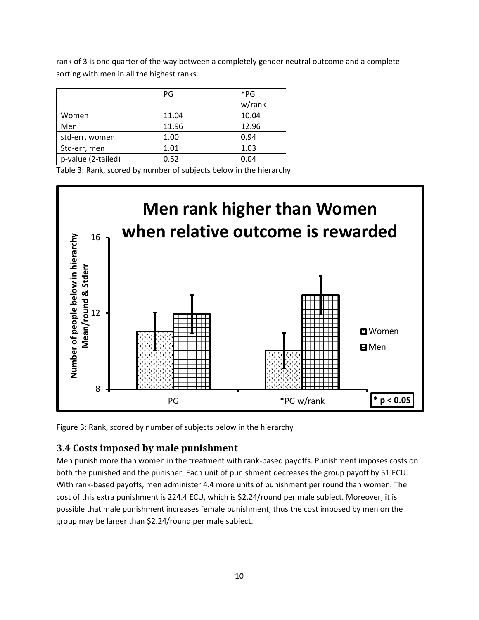rank of 3 is one quarter of the way between a completely gender neutral outcome and a complete sorting with men in all the highest ranks.

|                    | PG    | $*_{PG}$ |
|--------------------|-------|----------|
|                    |       | w/rank   |
| Women              | 11.04 | 10.04    |
| Men                | 11.96 | 12.96    |
| std-err, women     | 1.00  | 0.94     |
| Std-err, men       | 1.01  | 1.03     |
| p-value (2-tailed) | 0.52  | 0.04     |
|                    |       |          |

Table 3: Rank, scored by number of subjects below in the hierarchy



Figure 3: Rank, scored by number of subjects below in the hierarchy

#### **3.4 Costs imposed by male punishment**

Men punish more than women in the treatment with rank-based payoffs. Punishment imposes costs on both the punished and the punisher. Each unit of punishment decreases the group payoff by 51 ECU. With rank-based payoffs, men administer 4.4 more units of punishment per round than women. The cost of this extra punishment is 224.4 ECU, which is \$2.24/round per male subject. Moreover, it is possible that male punishment increases female punishment, thus the cost imposed by men on the group may be larger than \$2.24/round per male subject.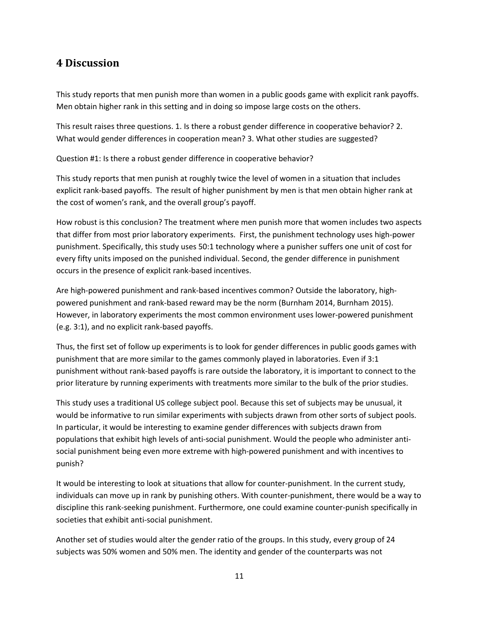#### **4 Discussion**

This study reports that men punish more than women in a public goods game with explicit rank payoffs. Men obtain higher rank in this setting and in doing so impose large costs on the others.

This result raises three questions. 1. Is there a robust gender difference in cooperative behavior? 2. What would gender differences in cooperation mean? 3. What other studies are suggested?

Question #1: Is there a robust gender difference in cooperative behavior?

This study reports that men punish at roughly twice the level of women in a situation that includes explicit rank-based payoffs. The result of higher punishment by men is that men obtain higher rank at the cost of women's rank, and the overall group's payoff.

How robust is this conclusion? The treatment where men punish more that women includes two aspects that differ from most prior laboratory experiments. First, the punishment technology uses high-power punishment. Specifically, this study uses 50:1 technology where a punisher suffers one unit of cost for every fifty units imposed on the punished individual. Second, the gender difference in punishment occurs in the presence of explicit rank-based incentives.

Are high-powered punishment and rank-based incentives common? Outside the laboratory, highpowered punishment and rank-based reward may be the norm [\(Burnham 2014,](#page-16-1) [Burnham 2015\)](#page-16-12). However, in laboratory experiments the most common environment uses lower-powered punishment (e.g. 3:1), and no explicit rank-based payoffs.

Thus, the first set of follow up experiments is to look for gender differences in public goods games with punishment that are more similar to the games commonly played in laboratories. Even if 3:1 punishment without rank-based payoffs is rare outside the laboratory, it is important to connect to the prior literature by running experiments with treatments more similar to the bulk of the prior studies.

This study uses a traditional US college subject pool. Because this set of subjects may be unusual, it would be informative to run similar experiments with subjects drawn from other sorts of subject pools. In particular, it would be interesting to examine gender differences with subjects drawn from populations that exhibit high levels of anti-social punishment. Would the people who administer antisocial punishment being even more extreme with high-powered punishment and with incentives to punish?

It would be interesting to look at situations that allow for counter-punishment. In the current study, individuals can move up in rank by punishing others. With counter-punishment, there would be a way to discipline this rank-seeking punishment. Furthermore, one could examine counter-punish specifically in societies that exhibit anti-social punishment.

Another set of studies would alter the gender ratio of the groups. In this study, every group of 24 subjects was 50% women and 50% men. The identity and gender of the counterparts was not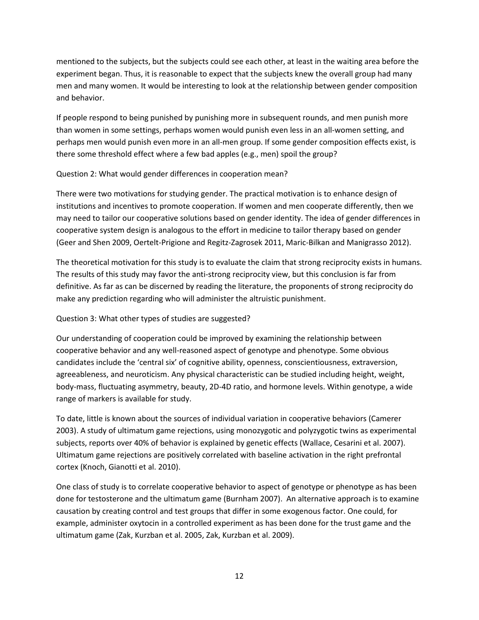mentioned to the subjects, but the subjects could see each other, at least in the waiting area before the experiment began. Thus, it is reasonable to expect that the subjects knew the overall group had many men and many women. It would be interesting to look at the relationship between gender composition and behavior.

If people respond to being punished by punishing more in subsequent rounds, and men punish more than women in some settings, perhaps women would punish even less in an all-women setting, and perhaps men would punish even more in an all-men group. If some gender composition effects exist, is there some threshold effect where a few bad apples (e.g., men) spoil the group?

#### Question 2: What would gender differences in cooperation mean?

There were two motivations for studying gender. The practical motivation is to enhance design of institutions and incentives to promote cooperation. If women and men cooperate differently, then we may need to tailor our cooperative solutions based on gender identity. The idea of gender differences in cooperative system design is analogous to the effort in medicine to tailor therapy based on gender [\(Geer and Shen 2009,](#page-17-15) [Oertelt-Prigione and Regitz-Zagrosek 2011,](#page-18-14) [Maric-Bilkan and Manigrasso 2012\)](#page-18-15).

The theoretical motivation for this study is to evaluate the claim that strong reciprocity exists in humans. The results of this study may favor the anti-strong reciprocity view, but this conclusion is far from definitive. As far as can be discerned by reading the literature, the proponents of strong reciprocity do make any prediction regarding who will administer the altruistic punishment.

#### Question 3: What other types of studies are suggested?

Our understanding of cooperation could be improved by examining the relationship between cooperative behavior and any well-reasoned aspect of genotype and phenotype. Some obvious candidates include the 'central six' of cognitive ability, openness, conscientiousness, extraversion, agreeableness, and neuroticism. Any physical characteristic can be studied including height, weight, body-mass, fluctuating asymmetry, beauty, 2D-4D ratio, and hormone levels. Within genotype, a wide range of markers is available for study.

To date, little is known about the sources of individual variation in cooperative behaviors [\(Camerer](#page-16-14)  [2003\)](#page-16-14). A study of ultimatum game rejections, using monozygotic and polyzygotic twins as experimental subjects, reports over 40% of behavior is explained by genetic effects [\(Wallace, Cesarini et al. 2007\)](#page-19-14). Ultimatum game rejections are positively correlated with baseline activation in the right prefrontal cortex [\(Knoch, Gianotti et al. 2010\)](#page-17-16).

One class of study is to correlate cooperative behavior to aspect of genotype or phenotype as has been done for testosterone and the ultimatum game [\(Burnham 2007\)](#page-16-15). An alternative approach is to examine causation by creating control and test groups that differ in some exogenous factor. One could, for example, administer oxytocin in a controlled experiment as has been done for the trust game and the ultimatum game [\(Zak, Kurzban et al. 2005,](#page-20-4) [Zak, Kurzban et al. 2009\)](#page-20-5).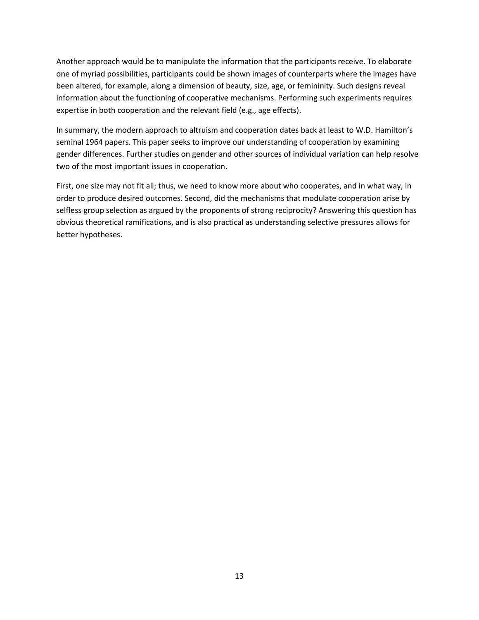Another approach would be to manipulate the information that the participants receive. To elaborate one of myriad possibilities, participants could be shown images of counterparts where the images have been altered, for example, along a dimension of beauty, size, age, or femininity. Such designs reveal information about the functioning of cooperative mechanisms. Performing such experiments requires expertise in both cooperation and the relevant field (e.g., age effects).

In summary, the modern approach to altruism and cooperation dates back at least to W.D. Hamilton's seminal 1964 papers. This paper seeks to improve our understanding of cooperation by examining gender differences. Further studies on gender and other sources of individual variation can help resolve two of the most important issues in cooperation.

First, one size may not fit all; thus, we need to know more about who cooperates, and in what way, in order to produce desired outcomes. Second, did the mechanisms that modulate cooperation arise by selfless group selection as argued by the proponents of strong reciprocity? Answering this question has obvious theoretical ramifications, and is also practical as understanding selective pressures allows for better hypotheses.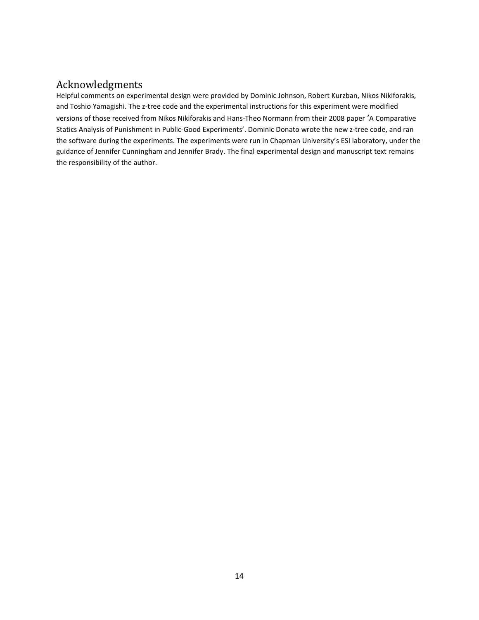#### Acknowledgments

Helpful comments on experimental design were provided by Dominic Johnson, Robert Kurzban, Nikos Nikiforakis, and Toshio Yamagishi. The z-tree code and the experimental instructions for this experiment were modified versions of those received from Nikos Nikiforakis and Hans-Theo Normann from their 2008 paper 'A Comparative Statics Analysis of Punishment in Public-Good Experiments'. Dominic Donato wrote the new z-tree code, and ran the software during the experiments. The experiments were run in Chapman University's ESI laboratory, under the guidance of Jennifer Cunningham and Jennifer Brady. The final experimental design and manuscript text remains the responsibility of the author.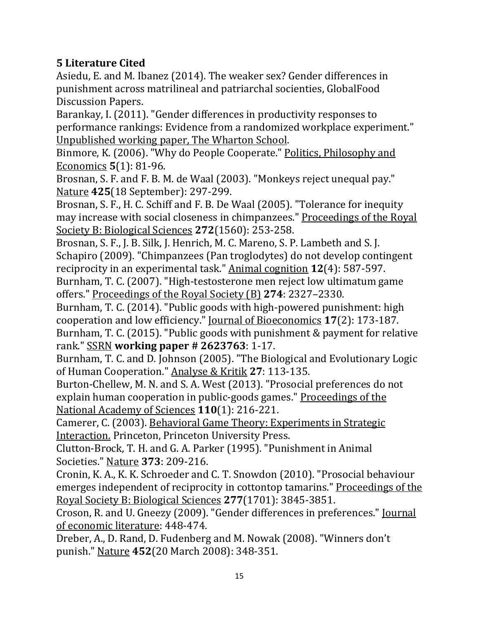### **5 Literature Cited**

<span id="page-16-11"></span>Asiedu, E. and M. Ibanez (2014). The weaker sex? Gender differences in punishment across matrilineal and patriarchal socienties, GlobalFood Discussion Papers.

<span id="page-16-13"></span>Barankay, I. (2011). "Gender differences in productivity responses to performance rankings: Evidence from a randomized workplace experiment." Unpublished working paper, The Wharton School.

<span id="page-16-7"></span>Binmore, K. (2006). "Why do People Cooperate." Politics, Philosophy and Economics **5**(1): 81-96.

<span id="page-16-4"></span>Brosnan, S. F. and F. B. M. de Waal (2003). "Monkeys reject unequal pay." Nature **425**(18 September): 297-299.

<span id="page-16-2"></span>Brosnan, S. F., H. C. Schiff and F. B. De Waal (2005). "Tolerance for inequity may increase with social closeness in chimpanzees." Proceedings of the Royal Society B: Biological Sciences **272**(1560): 253-258.

<span id="page-16-3"></span>Brosnan, S. F., J. B. Silk, J. Henrich, M. C. Mareno, S. P. Lambeth and S. J. Schapiro (2009). "Chimpanzees (Pan troglodytes) do not develop contingent reciprocity in an experimental task." Animal cognition **12**(4): 587-597. Burnham, T. C. (2007). "High-testosterone men reject low ultimatum game

<span id="page-16-15"></span>offers." Proceedings of the Royal Society (B) **274**: 2327–2330.

<span id="page-16-12"></span><span id="page-16-1"></span>Burnham, T. C. (2014). "Public goods with high-powered punishment: high cooperation and low efficiency." Journal of Bioeconomics **17**(2): 173-187. Burnham, T. C. (2015). "Public goods with punishment & payment for relative rank." SSRN **working paper # 2623763**: 1-17.

<span id="page-16-6"></span>Burnham, T. C. and D. Johnson (2005). "The Biological and Evolutionary Logic of Human Cooperation." Analyse & Kritik **27**: 113-135.

<span id="page-16-9"></span>Burton-Chellew, M. N. and S. A. West (2013). "Prosocial preferences do not explain human cooperation in public-goods games." Proceedings of the National Academy of Sciences **110**(1): 216-221.

<span id="page-16-14"></span>Camerer, C. (2003). Behavioral Game Theory: Experiments in Strategic Interaction. Princeton, Princeton University Press.

<span id="page-16-0"></span>Clutton-Brock, T. H. and G. A. Parker (1995). "Punishment in Animal Societies." Nature **373**: 209-216.

<span id="page-16-5"></span>Cronin, K. A., K. K. Schroeder and C. T. Snowdon (2010). "Prosocial behaviour emerges independent of reciprocity in cottontop tamarins." Proceedings of the Royal Society B: Biological Sciences **277**(1701): 3845-3851.

<span id="page-16-10"></span>Croson, R. and U. Gneezy (2009). "Gender differences in preferences." Journal of economic literature: 448-474.

<span id="page-16-8"></span>Dreber, A., D. Rand, D. Fudenberg and M. Nowak (2008). "Winners don't punish." Nature **452**(20 March 2008): 348-351.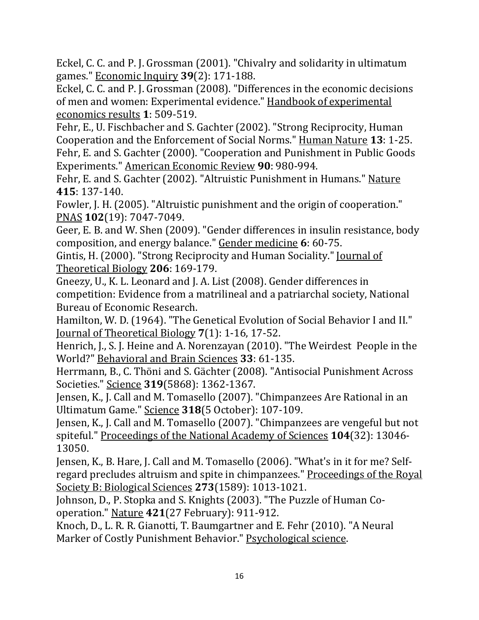<span id="page-17-13"></span>Eckel, C. C. and P. J. Grossman (2001). "Chivalry and solidarity in ultimatum games." Economic Inquiry **39**(2): 171-188.

<span id="page-17-12"></span>Eckel, C. C. and P. J. Grossman (2008). "Differences in the economic decisions of men and women: Experimental evidence." Handbook of experimental economics results **1**: 509-519.

<span id="page-17-10"></span><span id="page-17-0"></span>Fehr, E., U. Fischbacher and S. Gachter (2002). "Strong Reciprocity, Human Cooperation and the Enforcement of Social Norms." Human Nature **13**: 1-25. Fehr, E. and S. Gachter (2000). "Cooperation and Punishment in Public Goods Experiments." American Economic Review **90**: 980-994.

<span id="page-17-1"></span>Fehr, E. and S. Gachter (2002). "Altruistic Punishment in Humans." Nature **415**: 137-140.

<span id="page-17-2"></span>Fowler, J. H. (2005). "Altruistic punishment and the origin of cooperation." PNAS **102**(19): 7047-7049.

<span id="page-17-15"></span>Geer, E. B. and W. Shen (2009). "Gender differences in insulin resistance, body composition, and energy balance." Gender medicine **6**: 60-75.

<span id="page-17-9"></span>Gintis, H. (2000). "Strong Reciprocity and Human Sociality." Journal of Theoretical Biology **206**: 169-179.

<span id="page-17-14"></span>Gneezy, U., K. L. Leonard and J. A. List (2008). Gender differences in competition: Evidence from a matrilineal and a patriarchal society, National Bureau of Economic Research.

<span id="page-17-8"></span>Hamilton, W. D. (1964). "The Genetical Evolution of Social Behavior I and II." Journal of Theoretical Biology **7**(1): 1-16, 17-52.

<span id="page-17-3"></span>Henrich, J., S. J. Heine and A. Norenzayan (2010). "The Weirdest People in the World?" Behavioral and Brain Sciences **33**: 61-135.

<span id="page-17-4"></span>Herrmann, B., C. Thöni and S. Gächter (2008). "Antisocial Punishment Across Societies." Science **319**(5868): 1362-1367.

<span id="page-17-6"></span>Jensen, K., J. Call and M. Tomasello (2007). "Chimpanzees Are Rational in an Ultimatum Game." Science **318**(5 October): 107-109.

<span id="page-17-7"></span>Jensen, K., J. Call and M. Tomasello (2007). "Chimpanzees are vengeful but not spiteful." Proceedings of the National Academy of Sciences **104**(32): 13046- 13050.

<span id="page-17-5"></span>Jensen, K., B. Hare, J. Call and M. Tomasello (2006). "What's in it for me? Selfregard precludes altruism and spite in chimpanzees." Proceedings of the Royal Society B: Biological Sciences **273**(1589): 1013-1021.

<span id="page-17-11"></span>Johnson, D., P. Stopka and S. Knights (2003). "The Puzzle of Human Cooperation." Nature **421**(27 February): 911-912.

<span id="page-17-16"></span>Knoch, D., L. R. R. Gianotti, T. Baumgartner and E. Fehr (2010). "A Neural Marker of Costly Punishment Behavior." Psychological science.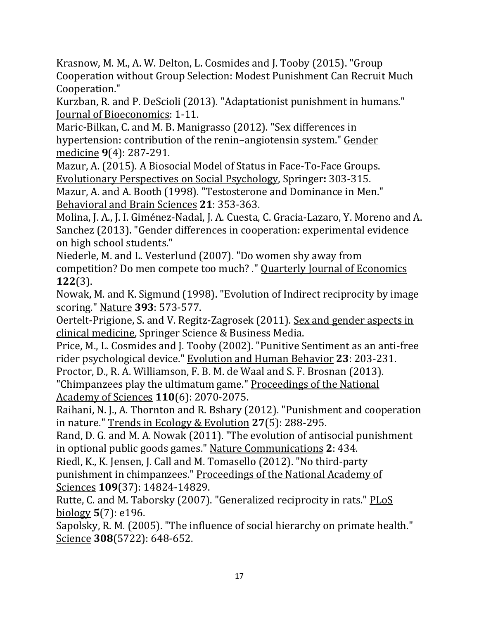<span id="page-18-8"></span>Krasnow, M. M., A. W. Delton, L. Cosmides and J. Tooby (2015). "Group Cooperation without Group Selection: Modest Punishment Can Recruit Much Cooperation."

<span id="page-18-7"></span>Kurzban, R. and P. DeScioli (2013). "Adaptationist punishment in humans." Journal of Bioeconomics: 1-11.

<span id="page-18-15"></span>Maric-Bilkan, C. and M. B. Manigrasso (2012). "Sex differences in hypertension: contribution of the renin–angiotensin system." Gender medicine **9**(4): 287-291.

<span id="page-18-11"></span>Mazur, A. (2015). A Biosocial Model of Status in Face-To-Face Groups. Evolutionary Perspectives on Social Psychology, Springer**:** 303-315.

<span id="page-18-10"></span>Mazur, A. and A. Booth (1998). "Testosterone and Dominance in Men." Behavioral and Brain Sciences **21**: 353-363.

<span id="page-18-13"></span>Molina, J. A., J. I. Giménez-Nadal, J. A. Cuesta, C. Gracia-Lazaro, Y. Moreno and A. Sanchez (2013). "Gender differences in cooperation: experimental evidence on high school students."

<span id="page-18-12"></span>Niederle, M. and L. Vesterlund (2007). "Do women shy away from competition? Do men compete too much? ." Quarterly Journal of Economics **122**(3).

<span id="page-18-5"></span>Nowak, M. and K. Sigmund (1998). "Evolution of Indirect reciprocity by image scoring." Nature **393**: 573-577.

<span id="page-18-14"></span>Oertelt-Prigione, S. and V. Regitz-Zagrosek (2011). Sex and gender aspects in clinical medicine, Springer Science & Business Media.

<span id="page-18-6"></span>Price, M., L. Cosmides and J. Tooby (2002). "Punitive Sentiment as an anti-free rider psychological device." Evolution and Human Behavior **23**: 203-231.

<span id="page-18-2"></span>Proctor, D., R. A. Williamson, F. B. M. de Waal and S. F. Brosnan (2013). "Chimpanzees play the ultimatum game." Proceedings of the National Academy of Sciences **110**(6): 2070-2075.

<span id="page-18-9"></span>Raihani, N. J., A. Thornton and R. Bshary (2012). "Punishment and cooperation in nature." Trends in Ecology & Evolution **27**(5): 288-295.

<span id="page-18-0"></span>Rand, D. G. and M. A. Nowak (2011). "The evolution of antisocial punishment in optional public goods games." Nature Communications **2**: 434.

<span id="page-18-1"></span>Riedl, K., K. Jensen, J. Call and M. Tomasello (2012). "No third-party punishment in chimpanzees." Proceedings of the National Academy of Sciences **109**(37): 14824-14829.

<span id="page-18-3"></span>Rutte, C. and M. Taborsky (2007). "Generalized reciprocity in rats." PLoS biology **5**(7): e196.

<span id="page-18-4"></span>Sapolsky, R. M. (2005). "The influence of social hierarchy on primate health." Science **308**(5722): 648-652.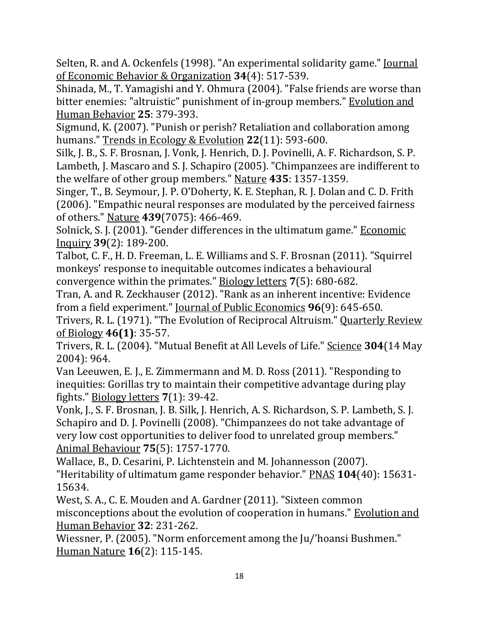<span id="page-19-11"></span>Selten, R. and A. Ockenfels (1998). "An experimental solidarity game." Journal of Economic Behavior & Organization **34**(4): 517-539.

<span id="page-19-2"></span>Shinada, M., T. Yamagishi and Y. Ohmura (2004). "False friends are worse than bitter enemies: "altruistic" punishment of in-group members." Evolution and Human Behavior **25**: 379-393.

<span id="page-19-1"></span>Sigmund, K. (2007). "Punish or perish? Retaliation and collaboration among humans." Trends in Ecology & Evolution **22**(11): 593-600.

<span id="page-19-3"></span>Silk, J. B., S. F. Brosnan, J. Vonk, J. Henrich, D. J. Povinelli, A. F. Richardson, S. P. Lambeth, J. Mascaro and S. J. Schapiro (2005). "Chimpanzees are indifferent to the welfare of other group members." Nature **435**: 1357-1359.

<span id="page-19-9"></span>Singer, T., B. Seymour, J. P. O'Doherty, K. E. Stephan, R. J. Dolan and C. D. Frith (2006). "Empathic neural responses are modulated by the perceived fairness of others." Nature **439**(7075): 466-469.

<span id="page-19-10"></span>Solnick, S. J. (2001). "Gender differences in the ultimatum game." Economic Inquiry **39**(2): 189-200.

<span id="page-19-6"></span>Talbot, C. F., H. D. Freeman, L. E. Williams and S. F. Brosnan (2011). "Squirrel monkeys' response to inequitable outcomes indicates a behavioural convergence within the primates." Biology letters **7**(5): 680-682.

<span id="page-19-12"></span>Tran, A. and R. Zeckhauser (2012). "Rank as an inherent incentive: Evidence from a field experiment." Journal of Public Economics **96**(9): 645-650.

<span id="page-19-0"></span>Trivers, R. L. (1971). "The Evolution of Reciprocal Altruism." Quarterly Review of Biology **46(1)**: 35-57.

<span id="page-19-7"></span>Trivers, R. L. (2004). "Mutual Benefit at All Levels of Life." Science **304**(14 May 2004): 964.

<span id="page-19-5"></span>Van Leeuwen, E. J., E. Zimmermann and M. D. Ross (2011). "Responding to inequities: Gorillas try to maintain their competitive advantage during play fights." Biology letters **7**(1): 39-42.

<span id="page-19-4"></span>Vonk, J., S. F. Brosnan, J. B. Silk, J. Henrich, A. S. Richardson, S. P. Lambeth, S. J. Schapiro and D. J. Povinelli (2008). "Chimpanzees do not take advantage of very low cost opportunities to deliver food to unrelated group members." Animal Behaviour **75**(5): 1757-1770.

<span id="page-19-14"></span>Wallace, B., D. Cesarini, P. Lichtenstein and M. Johannesson (2007). "Heritability of ultimatum game responder behavior." PNAS **104**(40): 15631- 15634.

<span id="page-19-8"></span>West, S. A., C. E. Mouden and A. Gardner (2011). "Sixteen common misconceptions about the evolution of cooperation in humans." Evolution and Human Behavior **32**: 231-262.

<span id="page-19-13"></span>Wiessner, P. (2005). "Norm enforcement among the Ju/'hoansi Bushmen." Human Nature **16**(2): 115-145.